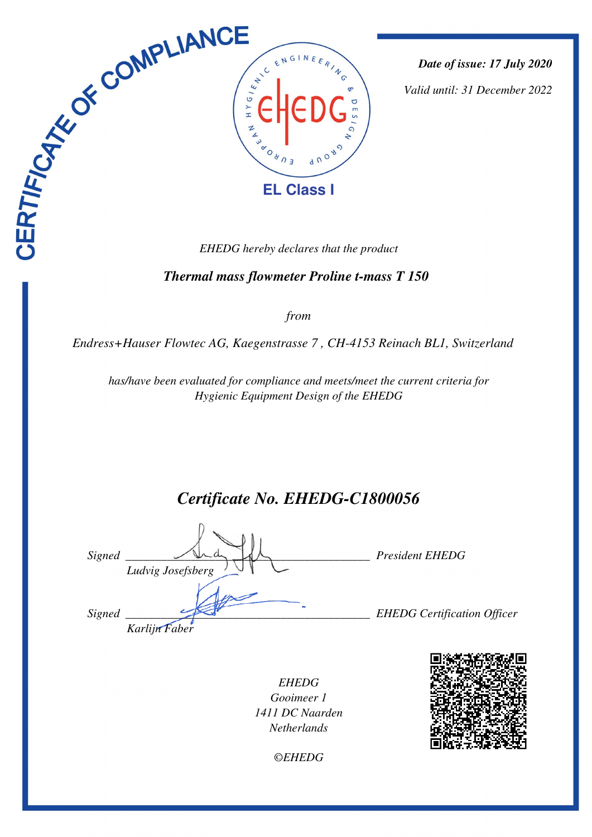

*Date of issue: 17 July 2020*

*Valid until: 31 December 2022*

 *Thermal mass flowmeter Proline t-mass T 150* 

*from*

*Endress+Hauser Flowtec AG, Kaegenstrasse 7 , CH-4153 Reinach BL1, Switzerland* 

*has/have been evaluated for compliance and meets/meet the current criteria for Hygienic Equipment Design of the EHEDG*

*Certificate No. EHEDG-C1800056*

| Signed | Ludvig Josefsberg | <b>President EHEDG</b>             |
|--------|-------------------|------------------------------------|
| Signed | Karlijn Faber     | <b>EHEDG</b> Certification Officer |

*EHEDG Gooimeer 1 1411 DC Naarden Netherlands*



*©EHEDG*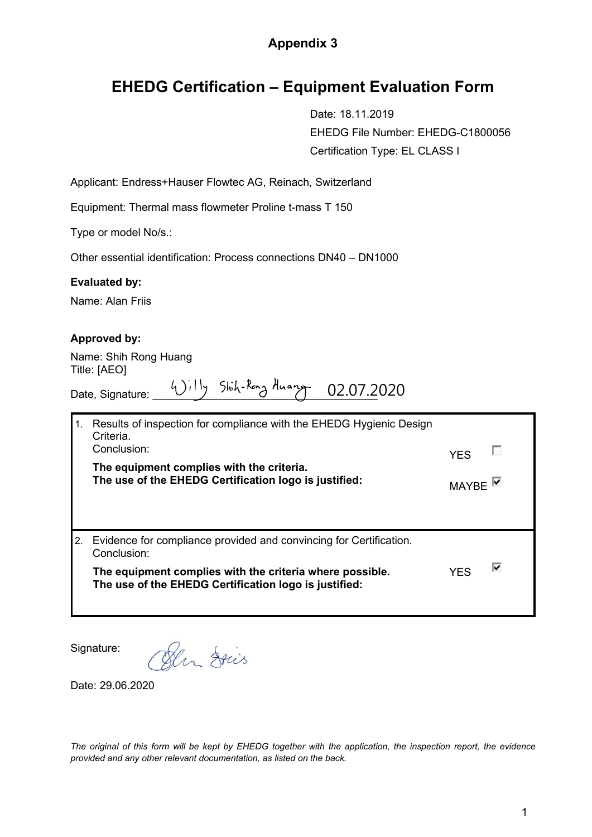### **Appendix 3**

## **EHEDG Certification – Equipment Evaluation Form**

Date: 18.11.2019 EHEDG File Number: EHEDG-C1800056 Certification Type: EL CLASS I

Applicant: Endress+Hauser Flowtec AG, Reinach, Switzerland

Equipment: Thermal mass flowmeter Proline t-mass T 150

Type or model No/s.:

Other essential identification: Process connections DN40 – DN1000

#### **Evaluated by:**

Name: Alan Friis

#### **Approved by:**

Name: Shih Rong Huang Title: [AEO]

| Date, Signature: | Willy Shih-Rong Huang | 02.07.2020 |
|------------------|-----------------------|------------|
|                  |                       |            |

| 1. | Results of inspection for compliance with the EHEDG Hygienic Design<br>Criteria.<br>Conclusion:                   |                    |   |
|----|-------------------------------------------------------------------------------------------------------------------|--------------------|---|
|    | The equipment complies with the criteria.<br>The use of the EHEDG Certification logo is justified:                |                    |   |
|    |                                                                                                                   | MAYBE <sup>N</sup> |   |
|    |                                                                                                                   |                    |   |
|    | 2. Evidence for compliance provided and convincing for Certification.<br>Conclusion:                              |                    |   |
|    | The equipment complies with the criteria where possible.<br>The use of the EHEDG Certification logo is justified: | YFS                | ⊽ |

Signature:

Olen Dries

Date: 29.06.2020

*The original of this form will be kept by EHEDG together with the application, the inspection report, the evidence provided and any other relevant documentation, as listed on the back.*